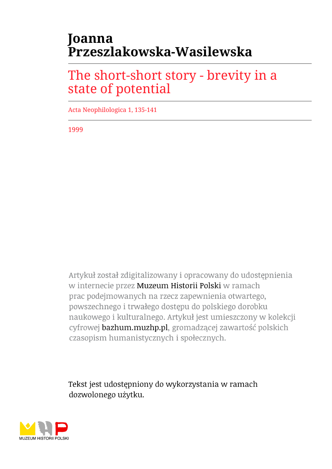## **Joanna Przeszlakowska-Wasilewska**

## The short-short story - brevity in a state of potential

Acta Neophilologica 1, 135-141

1999

Artykuł został zdigitalizowany i opracowany do udostępnienia w internecie przez Muzeum Historii Polski w ramach prac podejmowanych na rzecz zapewnienia otwartego, powszechnego i trwałego dostępu do polskiego dorobku naukowego i kulturalnego. Artykuł jest umieszczony w kolekcji cyfrowej bazhum.muzhp.pl, gromadzącej zawartość polskich czasopism humanistycznych i społecznych.

Tekst jest udostępniony do wykorzystania w ramach dozwolonego użytku.

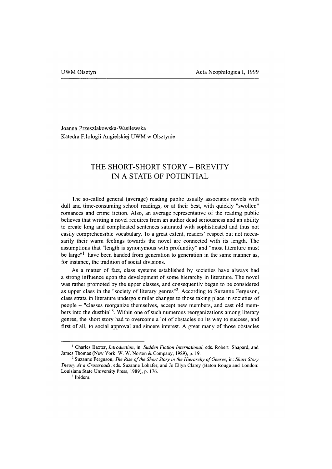Joanna Przeszlakowska-Wasilewska Katedra Filologii Angielskiej UWM w Olsztynie

## **THE SHORT-SHORT STORY - BREVITY IN A STATE OF POTENTIAL**

The so-called general (average) reading public usually associates novels with dull and time-consuming school readings, or at their best, with quickly "swollen" romances and crime fiction. Also, an average representative of the reading public believes that writing a novel requires from an author dead seriousness and an ability to create long and complicated sentences saturated with sophisticated and thus not easily comprehensible vocabulary. To a great extent, readers' respect but not necessarily their warm feelings towards the novel are connected with its length. The assumptions that "length is synonymous with profundity" and "most literature must be large"<sup>1</sup> have been handed from generation to generation in the same manner as, for instance, the tradition of social divisions.

As a matter of fact, class systems established by societies have always had a strong influence upon the development of some hierarchy in literature. The novel was rather promoted by the upper classes, and consequently began to be considered as upper class in the "society of literary genres"<sup>2</sup>. According to Suzanne Ferguson, class strata in literature undergo similar changes to those taking place in societies of people - "classes reorganize themselves, accept new members, and cast old members into the dustbin"3. Within one of such numerous reorganizations among literary genres, the short story had to overcome a lot of obstacles on its way to success, and first of all, to social approval and sincere interest. A great many of those obstacles

**<sup>1</sup> Charles Baxter,** *Introduction,* **in:** *Sudden Fiction International,* **eds. Robert Shapard, and James Thomas (New York: W. W. Norton & Company, 1989), p. 19.**

<sup>&</sup>lt;sup>2</sup> Suzanne Ferguson, *The Rise of the Short Story in the Hierarchy of Genres*, in: *Short Story Theory At a Crossroads,* **eds. Suzanne Lohafer, and Jo Ellyn Clarey (Baton Rouge and London: Louisiana State University Press, 1989), p. 176.**

**<sup>3</sup> Ibidem.**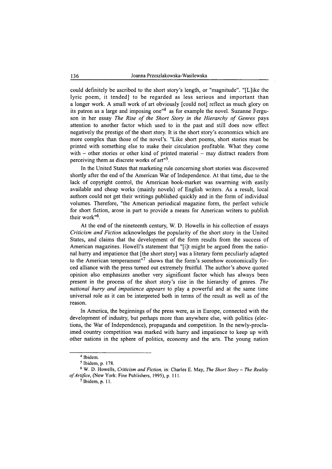could definitely be ascribed to the short story's length, or "magnitude". "[L]ike the lyric poem, it tended] to be regarded as less serious and important than a longer work. A small work of art obviously [could not] reflect as much glory on its patron as a large and imposing one"4 as for example the novel. Suzanne Ferguson in her essay *The Rise of the Short Story in the Hierarchy of Genres* pays attention to another factor which used to in the past and still does now effect negatively the prestige of the short story. It is the short story's economics which are more complex than those of the novel's. "Like short poems, short stories must be printed with something else to make their circulation profitable. What they come with  $-$  other stories or other kind of printed material  $-$  may distract readers from perceiving them as discrete works of art"5.

In the United States that marketing rule concerning short stories was discovered shortly after the end of the American War of Independence. At that time, due to the lack of copyright control, the American book-market was swarming with easily available and cheap works (mainly novels) of English writers. As a result, local authors could not get their writings published quickly and in the form of individual volumes. Therefore, "the American periodical magazine form, the perfect vehicle for short fiction, arose in part to provide a means for American writers to publish their work"6.

At the end of the nineteenth century, W. D. Howells in his collection of essays *Criticism and Fiction* acknowledges the popularity of the short story in the United States, and claims that the development of the form results from the success of American magazines. Howell's statement that "[i]t might be argued from the national hurry and impatience that [the short story] was a literary form peculiarly adapted to the American temperament"7 shows that the form's somehow economically forced alliance with the press turned out extremely fruitful. The author's above quoted opinion also emphasizes another very significant factor which has always been present in the process of the short story's rise in the hierarchy of genres. *The national hurry and impatience appears* to play a powerful and at the same time universal role as it can be interpreted both in terms of the result as well as of the reason.

In America, the beginnings of the press were, as in Europe, connected with the development of industry, but perhaps more than anywhere else, with politics (elections, the War of Independence), propaganda and competition. In the newly-proclaimed country competition was marked with hurry and impatience to keep up with other nations in the sphere of politics, economy and the arts. The young nation

**<sup>4</sup> Ibidem.**

**<sup>5</sup> Ibidem, p. 178.**

**<sup>6</sup> W. D. Howells,** *Criticism and Fiction,* **in: Charles E. May,** *The Short Story* **-** *The Reality of Artifice*, (New York: Fine Publishers, 1995), p. 111.

**<sup>7</sup> Ibidem, p. 11.**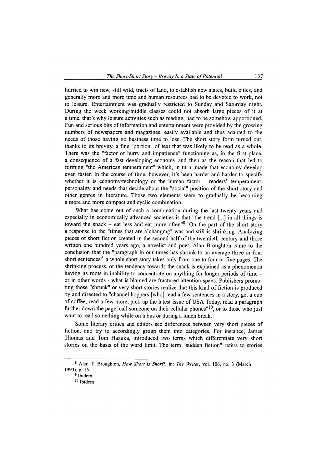hurried to win new, still wild, tracts of land, to establish new states, build cities, and generally more and more time and human resources had to be devoted to work, not to leisure. Entertainment was gradually restricted to Sunday and Saturday night. During the week working/middle classes could not absorb large pieces of it at a time, that's why leisure activities such as reading, had to be somehow apportioned. Fun and serious bits of information and entertainment were provided by the growing numbers of newspapers and magazines, easily available and thus adapted to the needs of those having no business time to lose. The short story form turned out, thanks to its brevity, a fine "portion" of text that was likely to be read as a whole. There was the "factor of hurry and impatience" functioning as, in the first place, a consequence of a fast developing economy and then as the reason that led to forming "the American temperament" which, in turn, made that economy develop even faster. In the course of time, however, it's been harder and harder to specify whether it is economy/technology or the human factor  $-$  readers' temperament, personality and needs that decide about the "social" position of the short story and other genres in literature. Those two elements seem to gradually be becoming a more and more compact and cyclic combination.

What has come out of such a combination during the last twenty years and especially in economically advanced societies is that "the trend [...] in all things is toward the snack  $-$  eat less and eat more often<sup> $n$ 8</sup>. On the part of the short story a response to the "times that are a'changmg" was and still is shrinking. Analyzing pieces of short fiction created in the second half of the twentieth century and those written one hundred years ago, a novelist and poet, Alan Broughton came to the conclusion that the "paragraph in our times has shrunk to an average three or four short sentences<sup>9</sup> a whole short story takes only from one to four or five pages. The shrinking process, or the tendency towards the snack is explained as a phenomenon having its roots in inability to concentrate on anything for longer periods of time – or in other words - what is blamed are fractured attention spans. Publishers promoting those "shrunk" or very short stories realize that this kind of fiction is produced by and directed to "channel hoppers [who] read a few sentences in a story, get a cup of coffee, read a few more, pick up the latest issue of USA Today, read a paragraph further down the page, call someone on their cellular phones" $10$ , or to those who just want to read something while on a bus or during a lunch break.

Some literary critics and editors see differences between very short pieces of fiction, and try to accordingly group them into categories. For instance, James Thomas and Tom Hazuka, introduced two terms which differentiate very short stories on the basis of the word limit. The term "sudden fiction" refers to stories

**<sup>8</sup> Alan T. Broughton,** *How Short is Short!,* **in:** *The Writer,* **vol. 106, no. 3 (March 1993), p. 15.**

**<sup>9</sup> Ibidem.**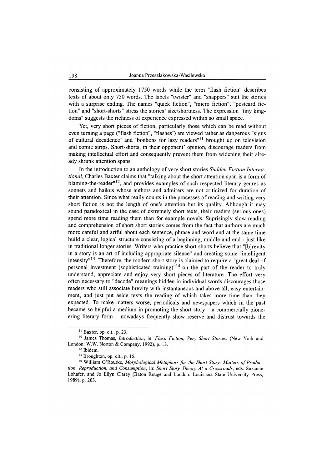consisting of approximately 1750 words while the term "flash fiction" describes texts of about only 750 words. The labels "twister" and "snappers" suit the stories with a surprise ending. The names "quick fiction", "micro fiction", "postcard fiction" and "short-shorts" stress the stories' size/shortness. The expression "tiny kingdoms" suggests the richness of experience expressed within so small space.

Yet, very short pieces of fiction, particularly those which can be read without even turning a page ("flash fiction", "flashes') are viewed rather as dangerous "signs of cultural decadence' and 'bonbons for lazy readers"11 brought up on television and comic strips. Short-shorts, in their opponent' opinion, discourage readers from making intellectual effort and consequently prevent them from widening their already shrunk attention spans.

In the introduction to an anthology of very short stories *Sudden Fiction International,* Charles Baxter claims that "talking about the short attention span is a form of blaming-the-reader"<sup>12</sup>, and provides examples of such respected literary genres as sonnets and haikus whose authors and admirers are not criticized for duration of their attention. Since what really counts in the processes of reading and writing very short fiction is not the length of one's attention but its quality. Although it may sound paradoxical in the case of extremely short texts, their readers (serious ones) spend more time reading them than for example novels. Suprisingly slow reading and comprehension of short short stories comes from the fact that authors are much more careful and artful about each sentence, phrase and word and at the same time build a clear, logical structure consisting of a beginning, middle and end - just like in traditional longer stories. Writers who practice short-shorts believe that "[bjrevity in a story is an art of including appropriate silence" and creating some "intelligent intensity"13. Therefore, the modem short story is claimed to require a "great deal of personal investment (sophisticated training)<sup>"14</sup> on the part of the reader to truly understand, appreciate and enjoy very short pieces of literature. The effort very often necessary to "decode" meanings hidden in individual words discourages those readers who still associate brevity with instantaneous and above all, easy entertainment, and just put aside texts the reading of which takes more time than they expected. To make matters worse, periodicals and newspapers which in the past became so helpful a medium in promoting the short story  $-$  a commercially pioneering literary form  $-$  nowadays frequently show reserve and distrust towards the

**<sup>11</sup> Baxter, op. cit., p. 23.**

**<sup>15</sup> James Thomas,** *Introduction,* **in:** *Flash Fiction, Very Short Stories,* **(New York and London: W.W. Norton & Company, 1992), p. 13.**

**<sup>12</sup> Ibidem.**

**<sup>13</sup> Broughton, op. cit., p. 15.**

<sup>&</sup>lt;sup>14</sup> William O'Rourke, *Morphological Metaphors for the Short Story: Matters of Production, Reproduction, and Consumption,* **in:** *Short Story Theory At a Crossroads,* **eds. Suzanne Lohafer, and Jo Ellyn Clarey (Baton Rouge and London: Louisiana State University Press, 1989), p. 203.**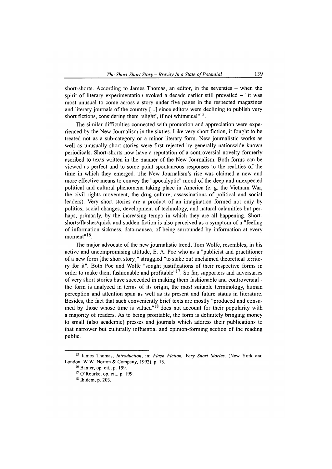short-shorts. According to James Thomas, an editor, in the seventies  $-$  when the spirit of literary experimentation evoked a decade earlier still prevailed  $-$  "it was most unusual to come across a story under five pages in the respected magazines and literary journals of the country [...] since editors were declining to publish very short fictions, considering them 'slight', if not whimsical<sup>"15</sup>.

The similar difficulties connected with promotion and appreciation were experienced by the New Journalism in the sixties. Like very short fiction, it fought to be treated not as a sub-category or a minor literary form. New journalistic works as well as unusually short stories were first rejected by generally nationwide known periodicals. Short-shorts now have a reputation of a controversial novelty formerly ascribed to texts written in the manner of the New Journalism. Both forms can be viewed as perfect and to some point spontaneous responses to the realities of the time in which they emerged. The New Journalism's rise was claimed a new and more effective means to convey the "apocalyptic" mood of the deep and unexpected political and cultural phenomena taking place in America (e. g. the Vietnam War, the civil rights movement, the drug culture, assassinations of political and social leaders). Very short stories are a product of an imagination formed not only by politics, social changes, development of technology, and natural calamities but perhaps, primarily, by the increasing tempo in which they are all happening. Shortshorts/flashes/quick and sudden fiction is also perceived as a symptom of a "feeling of information sickness, data-nausea, of being surrounded by information at every moment"<sup>16</sup>.

The major advocate of the new journalistic trend, Tom Wolfe, resembles, in his active and uncompromising attitude, E. A. Poe who as a "publicist and practitioner of a new form [the short story]" struggled "to stake out unclaimed theoretical territory for it". Both Poe and Wolfe "sought justifications of their respective forms in order to make them fashionable and profitable"17. So far, supporters and adversaries of very short stories have succeeded in making them fashionable and controversial the form is analyzed in terms of its origin, the most suitable terminology, human perception and attention span as well as its present and future status in literature. Besides, the fact that such conveniently brief texts are mostly "produced and consumed by those whose time is valued"<sup>18</sup> does not account for their popularity with a majority of readers. As to being profitable, the form is definitely bringing money to small (also academic) presses and journals which address their publications to that narrower but culturally influential and opinion-forming section of the reading public.

**<sup>15</sup> James Thomas,** *Introduction,* **in:** *Flash Fiction, Very Short Stories,* **(New York and London: W.W. Norton & Company, 1992), p. 13.**

**<sup>16</sup> Baxter, op. cit., p. 199.**

**<sup>17</sup> O'Rourke, op. cit., p. 199.**

**<sup>18</sup> Ibidem, p. 203.**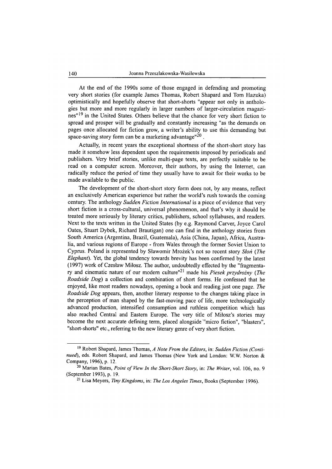At the end of the 1990s some of those engaged in defending and promoting very short stories (for example James Thomas, Robert Shapard and Tom Hazuka) optimistically and hopefully observe that short-shorts "appear not only in anthologies but more and more regularly in larger numbers of larger-circulation magazines"<sup>19</sup> in the United States. Others believe that the chance for very short fiction to spread and prosper will be gradually and constantly increasing "as the demands on pages once allocated for fiction grow, a writer's ability to use this demanding but space-saving story form can be a marketing advantage  $120$ .

Actually, in recent years the exceptional shortness of the short-short story has made it somehow less dependent upon the requirements imposed by periodicals and publishers. Very brief stories, unlike multi-page texts, are perfectly suitable to be read on a computer screen. Moreover, their authors, by using the Internet, can radically reduce the period of time they usually have to await for their works to be made available to the public.

The development of the short-short story form does not, by any means, reflect an exclusively American experience but rather the world's rush towards the coming century. The anthology *Sudden Fiction International* is a piece of evidence that very short fiction is a cross-cultural, universal phenomenon, and that's why it should be treated more seriously by literary critics, publishers, school syllabuses, and readers. Next to the texts written in the United States (by e.g. Raymond Carver, Joyce Carol Oates, Stuart Dybek, Richard Brautigan) one can find in the anthology stories from South America (Argentina, Brazil, Guatemala), Asia (China, Japan), Africa, Australia, and various regions of Europe - from Wales through the former Soviet Union to Cyprus. Poland is represented by Sławomir Mrożek's not so recent story *Słoń (The Elephant).* Yet, the global tendency towards brevity has been confirmed by the latest (1997) work of Czeslaw Milosz. The author, undoubtedly effected by the "fragmentary and cinematic nature of our modem culture"21 made his *Piesek przydrożny (The Roadside Dog)* a collection and combination of short forms. He confessed that he enjoyed, like most readers nowadays, opening a book and reading just one page. *The Roadside Dog* appears, then, another literary response to the changes taking place in the perception of man shaped by the fast-moving pace of life, more technologically advanced production, intensified consumption and ruthless competition which has also reached Central and Eastern Europe. The very title of Milosz's stories may become the next accurate defining term, placed alongside "micro fiction", "blasters", "short-shorts" etc., referring to the new literary genre of very short fiction.

**<sup>19</sup> Robert Shapard, James Thomas,** *A Note From the Editors,* **in:** *Sudden Fiction (Continued),* **eds. Robert Shapard, and James Thomas (New York and London: W.W. Norton & Company, 1996), p. 12.**

<sup>&</sup>lt;sup>20</sup> Marian Bates, *Point of View In the Short-Short Story*, in: *The Writer*, vol. 106, no. 9 **(September 1993), p. 19.**

**<sup>21</sup> Lisa Meyers,** *Tiny Kingdoms,* **in:** *The Los Angeles Times,* **Books (September 1996).**